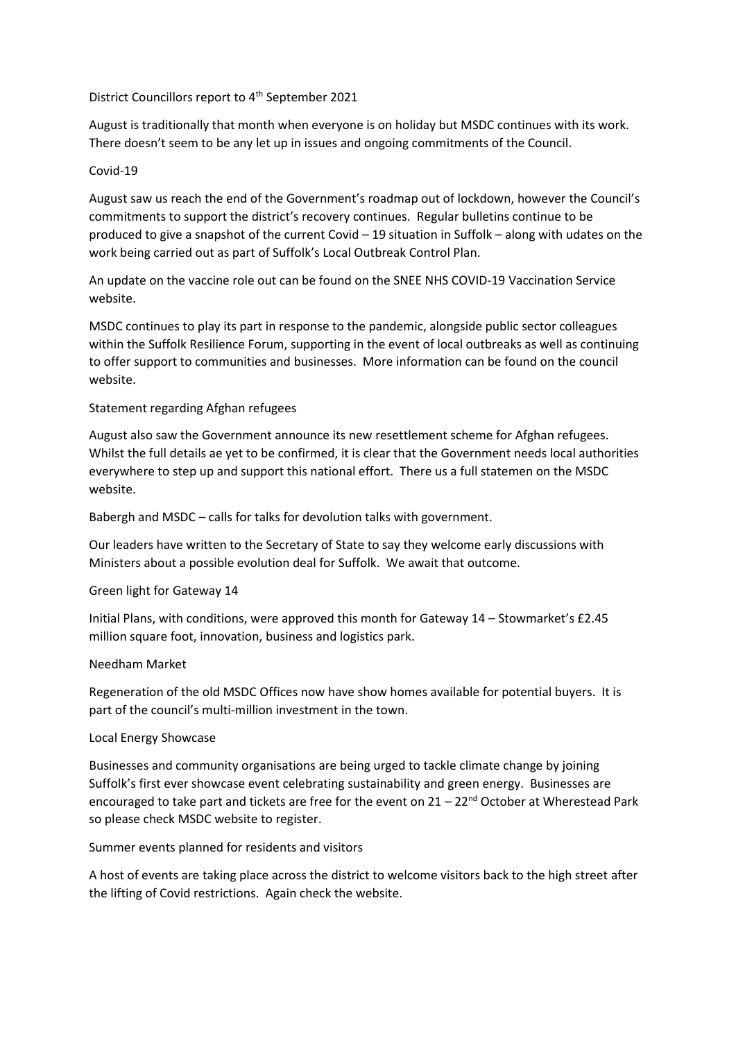# District Councillors report to 4<sup>th</sup> September 2021

August is traditionally that month when everyone is on holiday but MSDC continues with its work. There doesn't seem to be any let up in issues and ongoing commitments of the Council.

# Covid-19

August saw us reach the end of the Government's roadmap out of lockdown, however the Council's commitments to support the district's recovery continues. Regular bulletins continue to be produced to give a snapshot of the current Covid – 19 situation in Suffolk – along with udates on the work being carried out as part of Suffolk's Local Outbreak Control Plan.

An update on the vaccine role out can be found on the SNEE NHS COVID-19 Vaccination Service website.

MSDC continues to play its part in response to the pandemic, alongside public sector colleagues within the Suffolk Resilience Forum, supporting in the event of local outbreaks as well as continuing to offer support to communities and businesses. More information can be found on the council website.

# Statement regarding Afghan refugees

August also saw the Government announce its new resettlement scheme for Afghan refugees. Whilst the full details ae yet to be confirmed, it is clear that the Government needs local authorities everywhere to step up and support this national effort. There us a full statemen on the MSDC website.

Babergh and MSDC – calls for talks for devolution talks with government.

Our leaders have written to the Secretary of State to say they welcome early discussions with Ministers about a possible evolution deal for Suffolk. We await that outcome.

#### Green light for Gateway 14

Initial Plans, with conditions, were approved this month for Gateway 14 – Stowmarket's £2.45 million square foot, innovation, business and logistics park.

#### Needham Market

Regeneration of the old MSDC Offices now have show homes available for potential buyers. It is part of the council's multi-million investment in the town.

#### Local Energy Showcase

Businesses and community organisations are being urged to tackle climate change by joining Suffolk's first ever showcase event celebrating sustainability and green energy. Businesses are encouraged to take part and tickets are free for the event on  $21 - 22^{nd}$  October at Wherestead Park so please check MSDC website to register.

Summer events planned for residents and visitors

A host of events are taking place across the district to welcome visitors back to the high street after the lifting of Covid restrictions. Again check the website.